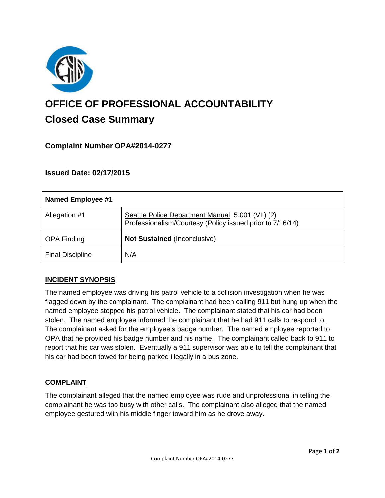

# **OFFICE OF PROFESSIONAL ACCOUNTABILITY Closed Case Summary**

## **Complaint Number OPA#2014-0277**

## **Issued Date: 02/17/2015**

| <b>Named Employee #1</b> |                                                                                                               |
|--------------------------|---------------------------------------------------------------------------------------------------------------|
| Allegation #1            | Seattle Police Department Manual 5.001 (VII) (2)<br>Professionalism/Courtesy (Policy issued prior to 7/16/14) |
| <b>OPA Finding</b>       | <b>Not Sustained (Inconclusive)</b>                                                                           |
| <b>Final Discipline</b>  | N/A                                                                                                           |

### **INCIDENT SYNOPSIS**

The named employee was driving his patrol vehicle to a collision investigation when he was flagged down by the complainant. The complainant had been calling 911 but hung up when the named employee stopped his patrol vehicle. The complainant stated that his car had been stolen. The named employee informed the complainant that he had 911 calls to respond to. The complainant asked for the employee's badge number. The named employee reported to OPA that he provided his badge number and his name. The complainant called back to 911 to report that his car was stolen. Eventually a 911 supervisor was able to tell the complainant that his car had been towed for being parked illegally in a bus zone.

### **COMPLAINT**

The complainant alleged that the named employee was rude and unprofessional in telling the complainant he was too busy with other calls. The complainant also alleged that the named employee gestured with his middle finger toward him as he drove away.